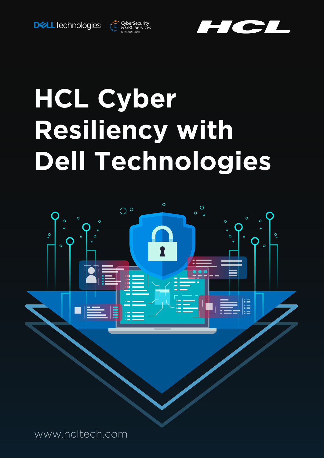



# **HCL Cyber Resiliency with Dell Technologies**

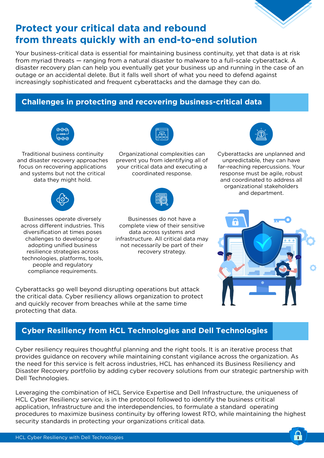

## **Protect your critical data and rebound from threats quickly with an end-to-end solution**

Your business-critical data is essential for maintaining business continuity, yet that data is at risk from myriad threats — ranging from a natural disaster to malware to a full-scale cyberattack. A disaster recovery plan can help you eventually get your business up and running in the case of an outage or an accidental delete. But it falls well short of what you need to defend against increasingly sophisticated and frequent cyberattacks and the damage they can do.

## **Challenges in protecting and recovering business-critical data**



Traditional business continuity and disaster recovery approaches focus on recovering applications and systems but not the critical data they might hold.



Organizational complexities can prevent you from identifying all of your critical data and executing a coordinated response.



Businesses operate diversely across different industries. This diversification at times poses challenges to developing or adopting unified business resilience strategies across technologies, platforms, tools, people and regulatory compliance requirements.



Businesses do not have a complete view of their sensitive data across systems and infrastructure. All critical data may not necessarily be part of their recovery strategy.

Cyberattacks go well beyond disrupting operations but attack the critical data. Cyber resiliency allows organization to protect and quickly recover from breaches while at the same time protecting that data.

## **Cyber Resiliency from HCL Technologies and Dell Technologies**

Cyber resiliency requires thoughtful planning and the right tools. It is an iterative process that provides guidance on recovery while maintaining constant vigilance across the organization. As the need for this service is felt across industries, HCL has enhanced its Business Resiliency and Disaster Recovery portfolio by adding cyber recovery solutions from our strategic partnership with Dell Technologies.

Leveraging the combination of HCL Service Expertise and Dell Infrastructure, the uniqueness of HCL Cyber Resiliency service, is in the protocol followed to identify the business critical application, Infrastructure and the interdependencies, to formulate a standard operating procedures to maximize business continuity by offering lowest RTO, while maintaining the highest security standards in protecting your organizations critical data.



Cyberattacks are unplanned and unpredictable, they can have far-reaching repercussions. Your response must be agile, robust and coordinated to address all organizational stakeholders and department.

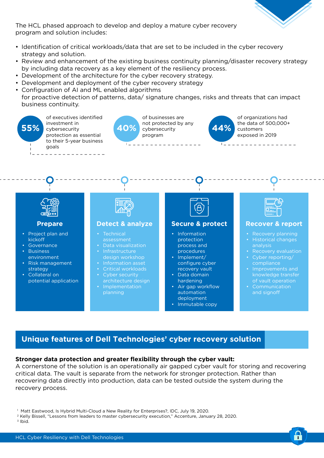

 $\mathbf{a}$ 

The HCL phased approach to develop and deploy a mature cyber recovery program and solution includes:

- Identification of critical workloads/data that are set to be included in the cyber recovery strategy and solution.
- Review and enhancement of the existing business continuity planning/disaster recovery strategy by including data recovery as a key element of the resiliency process.
- Development of the architecture for the cyber recovery strategy.
- Development and deployment of the cyber recovery strategy
- Configuration of AI and ML enabled algorithms for proactive detection of patterns, data/ signature changes, risks and threats that can impact business continuity.



### **Unique features of Dell Technologies' cyber recovery solution**

#### **Stronger data protection and greater flexibility through the cyber vault:**

A cornerstone of the solution is an operationally air gapped cyber vault for storing and recovering critical data. The vault is separate from the network for stronger protection. Rather than recovering data directly into production, data can be tested outside the system during the recovery process.

1 Matt Eastwood, Is Hybrid Multi-Cloud a New Reality for Enterprises?, IDC, July 19, 2020.

2 Kelly Bissell, "Lessons from leaders to master cybersecurity execution," Accenture, January 28, 2020.  $3$  Ibid.